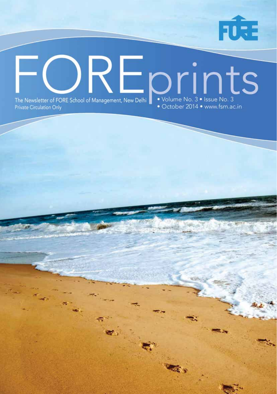

FORE School of Management | 1

## REprints • Volume No. 3 • Issue No. 3<br>• October 2014 • www.fsm.ac.in The Newsletter of FORE School of Management, New Delhi **Private Circulation Only**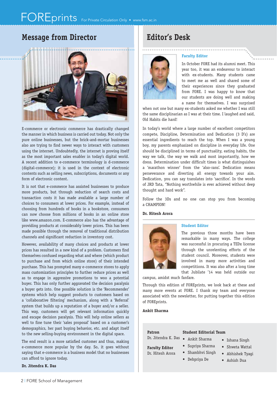### **Message from Director Editor's Desk**



E-commerce or electronic commerce has drastically changed the manner in which business is carried out today. Not only the pure online businesses, but the brick-and-mortar businesses also are trying to find newer ways to interact with customers using the internet. Undoubtedly, the internet is proving itself as the most important sales enabler in today's digital world. A recent addition to e-commerce terminology is d-commerce (digital-commerce); it is used in the context of electronic contents such as selling news, subscriptions, documents or any form of electronic content.

It is not that e-commerce has assisted businesses to produce more products, but through reduction of search costs and transaction costs it has made available a large number of choices to consumers at lower prices. For example, instead of choosing from hundreds of books in a bookstore, consumers can now choose from millions of books in an online store like www.amazon.com. E-commerce also has the advantage of providing products at considerably lower prices. This has been made possible through the removal of traditional distribution channels and significant reduction in inventory cost.

However, availability of many choices and products at lower prices has resulted in a new kind of a problem. Customers find themselves confused regarding what and where (which product to purchase and from which online store) of their intended purchase. This has prompted many e-commerce stores to apply mass customization principles to further reduce prices as well as to engage in aggressive promotions to woo a potential buyer. This has only further aggravated the decision paralysis a buyer gets into. One possible solution is the 'Recommender' systems which help suggest products to customers based on a 'collaborative filtering' mechanism, along with a 'Referral' system that builds up a reputation of a buyer and/or a seller. This way, customers will get relevant information quickly and escape decision paralysis. This will help online sellers as well to fine tune their 'sales proposal' based on a customer's demographics, her past buying behavior, etc. and adapt itself to the new selling-buying environment in the digital space.

The end result is a more satisfied customer and thus, making e-commerce more popular by the day. So, it goes without saying that e-commerce is a business model that no businesses can afford to ignore today.

**Dr. Jitendra K. Das**



#### **Faculty Editor**

In October FORE had its alumni meet. This year too, it was an endeavour to interact with ex-students. Many students came to meet me as well and shared some of their experiences since they graduated from FORE. I was happy to know that our students are doing well and making a name for themselves. I was surprised

when not one but many ex-students asked me whether I was still the same disciplinarian as I was at their time. I laughed and said, Old Habits die hard!

In today's world where a large number of excellent competitors compete, Discipline, Determination and Dedication (3 D's) are essential ingredients to reach the top. When I was a young boy, my parents emphasized on discipline in everyday life. One should be disciplined in terms of punctuality, eating habits, the way we talk, the way we walk and most importantly, how we dress. Determination under difficult times is what distinguishes a 'marathon winner' from the 'also-rans'. Dedication means perseverance and diverting all energy towards your aim. Dedication, you can say translates into 'sacrifice'. In the words of JRD Tata, "Nothing worthwhile is ever achieved without deep thought and hard work".

Follow the 3Ds and no one can stop you from becoming a CHAMPION!

#### **Dr. Hitesh Arora**



#### **Student Editor**

The previous three months have been remarkable in many ways. The college was successful in procuring a TEDx license through the unrelenting efforts of the student council. Moreover, students were involved in many more activities and competitions. It was also after a long time that Jubilate '14 was held outside our

campus, amidst much fanfare.

Through this edition of FOREprints, we look back at these and many more events at FORE. I thank my team and everyone associated with the newsletter, for putting together this edition of FOREprints.

#### **Ankit Sharma**

#### **Patron**

#### **Student Editorial Team**

Dr. Jitendra K. Das • Ankit Sharma

**Faculty Editor** Dr. Hitesh Arora

- 
- Supriya Sharma
- 
- Shambhvi Singh
	- Debpriya De
- Ashish Dua

• Ishana Singh • Shweta Wattal • Abhishek Tyagi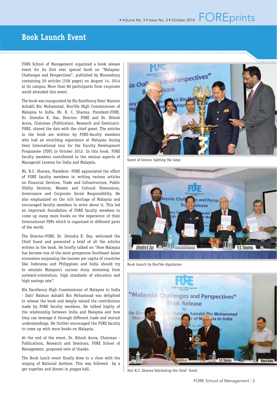**Book Launch Event**

FORE School of Management organized a book release event for its first ever special book on "Malaysia: Challenges and Perspectives", published by Bloomsbury containing 20 articles (358 pages) on August 14, 2014 at its campus. More than 80 participants from corporate world attended this event.

The book was inaugurated by His Excellency Dato' Naimun Ashakli Bin Mohammad, Hon'ble High Commissioner of Malaysia to India. Mr. R. C. Sharma, President-FORE, Dr. Jitendra K. Das, Director- FORE and Dr. Hitesh Arora, Chairman (Publication, Research and Seminars)- FORE, shared the dais with the chief guest. The articles in the book are written by FORE-faculty members who had an enriching experience at Malaysia during their International tour for the Faculty Development Programme (FDP) in October 2012. In this book, FORE faculty members contributed to the various aspects of Managerial Lessons for India and Malaysia.

Mr. R.C. Sharma, President- FORE appreciated the effort of FORE faculty members in writing various articles on Financial Services, Trade and Infrastructure, Public Utility Services, Women and Cultural Dimensions, Governance and Corporate Social Responsibility. He also emphasized on the rich heritage of Malaysia and encouraged faculty members to write about it. This led an important foundation of FORE faculty members to come up many more books on the experience of their International FDPs which is organized in different parts of the world.

The Director-FORE, Dr. Jitendra K. Das, welcomed the Chief Guest and presented a brief of all the articles written in the book. He briefly talked on "How Malaysia has become one of the most prosperous Southeast Asian economies surpassing the income per capita of countries like Indonesia and Philippines and India should try to emulate Malaysia's success story stemming from outward-orientation, high standards of education and high savings rate".

His Excellency High Commissioner of Malaysia to India - Dato' Naimun Ashakli Bin Mohammad was delighted to release the book and deeply valued the contribution made by FORE faculty members. He talked highly of the relationship between India and Malaysia and how they can leverage it through different trade and mutual understandings. He further encouraged the FORE faculty to come up with more books on Malaysia.

At the end of the event, Dr. Hitesh Arora, Chairman - Publications, Research and Seminars, FORE School of Management, proposed vote of thanks.

The Book lunch event finally drew to a close with the singing of National Anthem. This was followed by a get together and dinner in *pragya* hall.



Guest of honour lighting the lamp



Book launch by Hon'ble dignitaries



Shri R.C. Sharma felicitating the Chief Guest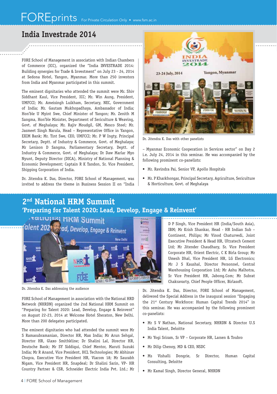### **India Investrade 2014**

FORE School of Management in association with Indian Chambers of Commerce (ICC), organized the "India INVESTRADE 2014: Building synergies for Trade & Investment" on July 23 - 24, 2014 at Sedona Hotel, Yangon, Myanmar. More than 250 investors from India and Myanmar participated in this summit.

The eminent dignitaries who attended the summit were Mr. Shiv Siddhant Kaul, Vice President, ICC; Mr. Win Aung, President, UMFCCI; Mr. Ameisingh Luikham, Secretary, NEC, Government of India; Mr. Gautam Mukhopadhaya, Ambassador of India; Hon'ble U Myint Swe, Chief Minister of Yangon; Mr. Zenith M Sangma, Hon'ble Minister, Department of Sericulture & Weaving, Govt. of Meghalaya; Mr. Rajiv Moudgil, GM, Mesco Steel; Mr. Jasmeet Singh Narula, Head - Representative Office in Yangon, EXIM Bank; Mr. Tint Swe, CEO, UMFCCI; Mr. P W Ingty, Principal Secretary, Deptt. of Industry & Commerce, Govt. of Meghalaya; Mr Lenison D Sangma, Parliamentary Secretary, Deptt. of Industry & Commerce, Govt. of Meghalaya; Dr Daw Marlar Myo Nyunt, Deputy Director (DICA), Ministry of National Planning & Economic Development; Captain R K Tandon, Sr. Vice President, Shipping Corporation of India.

Dr. Jitendra K. Das, Director, FORE School of Management, was invited to address the theme in Business Session II on "India



Dr. Jitendra K. Das with other panelists

– Myanmar Economic Cooperation in Services sector" on Day 2 i.e. July 24, 2014 in this seminar. He was accompanied by the following prominent co-panelists:

- Mr. Ravindra Pai, Senior VP, Apollo Hospitals
- Mr. P Kharkhongar, Principal Secretary, Agriculture, Sericulture & Horticulture, Govt. of Meghalaya

### **2nd National HRM Summit 'Preparing for Talent 2020: Lead, Develop, Engage & Reinvent'**



Dr. Jitendra K. Das addressing the audience

FORE School of Management in association with the National HRD Network (NHRDN) organized the 2nd National HRM Summit on "Preparing for Talent 2020: Lead, Develop, Engage & Reinvent" on August 22-23, 2014 at Welcome Hotel Sheraton, New Delhi. More than 200 delegates participated.

The eminent dignitaries who had attended the summit were Mr S Ramasubramanian, Director HR, Max India; Mr Arun Sehgal, Director HR, Glaxo Smithkline; Dr Shalini Lal, Director HR, Deutsche Bank; Mr SY Siddiqui, Chief Mentor, Maruti Suzuki India; Mr R Anand, Vice President, HCL Technologies; Mr Abhinav Chopra, Executive Vice President HR, Viacom 18; Mr Saurabh Nigam, Vice President HR, Snapdeal; Dr Shalini Sarin, VP- HR Country Partner & CSR, Schneider Electric India Pvt. Ltd.; Mr D P Singh, Vice President HR (India/South Asia), IBM; Mr Krish Shankar, Head - HR Indian Sub – Continent, Philips; Mr Vinod Chaturvedi, Joint Executive President & Head HR, Ultratech Cement Ltd; Mr Jitender Chaudhary, Sr. Vice President Corporate HR, Orient Electric, C K Birla Group; Mr Umesh Dhal, Vice President HR, LG Electronics; Mr J S Kaushal, Director Personnel, Central Warehousing Corporation Ltd; Mr Ashu Malhotra, Sr Vice President HR, Jabong.Com; Mr Subrat Chakravarty, Chief People Officer, Birlasoft.

Dr. Jitendra K. Das, Director, FORE School of Management, delivered the Special Address in the inaugural session "Engaging the 21<sup>st</sup> Century Workforce: Human Capital Trends 2014" in this seminar. He was accompanied by the following prominent co-panelists:

- Mr S V Nathan, National Secretary, NHRDN & Director U.S India Talent, Deloitte
- Mr Yogi Sriram, Sr VP Corporate HR, Larsen & Toubro
- Mr Dilip Chenoy, MD & CEO, NSDC
- Ms Vishalli Dongrie, Sr Director, Human Capital Consulting, Deloitte
- Mr Kamal Singh, Director General, NHRDN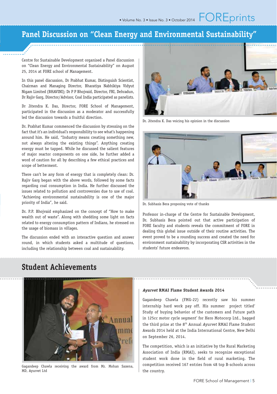### **Panel Discussion on "Clean Energy and Environmental Sustainability"**

Centre for Sustainable Development organised a Panel discussion on "Clean Energy and Environmental Sustainability" on August 25, 2014 at FORE school of Management.

In this panel discussion, Dr Prabhat Kumar, Distinguish Scientist, Chairman and Managing Director, Bharatiya Nabhikiya Vidyut Nigam Limited (BHAVINI); Dr P P Bhojvaid, Director, FRI, Dehradun, Dr Rajiv Garg, Director/Advisor, Coal India participated as panelists.

Dr Jitendra K. Das, Director, FORE School of Management, participated in the discussion as a moderator and successfully led the discussion towards a fruitful direction.

Dr. Prabhat Kumar commenced the discussion by stressing on the fact that it's an individual's responsibility to see what's happening around him. He said, "Industry means creating something new, not always altering the existing things". Anything creating energy must be tapped. While he discussed the salient features of major reactor components on one side, he further added a word of caution for all by describing a few ethical practices and scope of betterment.

There can't be any form of energy that is completely clean: Dr. Rajiv Garg began with the above words, followed by some facts regarding coal consumption in India. He further discussed the issues related to pollution and controversies due to use of coal. "Achieving environmental sustainability is one of the major priority of India", he said.

Dr. P.P. Bhojvaid emphasized on the concept of "How to make wealth out of waste". Along with shedding some light on facts related to energy consumption pattern of Indians, he stressed on the usage of biomass in villages.

The discussion ended with an interactive question and answer round, in which students asked a multitude of questions, including the relationship between coal and sustainability.



Dr. Jitendra K. Das voicing his opinion in the discussion



Dr. Subhasis Bera proposing vote of thanks

Professor in-charge of the Centre for Sustainable Development, Dr. Subhasis Bera pointed out that active participation of FORE faculty and students reveals the commitment of FORE in dealing this global issue outside of their routine activities. The event proved to be a rounding success and created the need for environment sustainability by incorporating CSR activities in the students' future endeavors.

### **Student Achievements**



Gagandeep Chawla receiving the award from Mr. Mohan Saxena, MD, Ayurvet Ltd

#### **Ayurvet RMAI Flame Student Awards 2014**

Gagandeep Chawla (FMG-22) recently saw his summer internship hard work pay off. His summer project titled' Study of buying behavior of the customers and Future path in 125cc motor cycle segment' for Hero Motocorp Ltd., bagged the third prize at the 8<sup>th</sup> Annual Ayurvet RMAI Flame Student Awards 2014 held at the India International Centre, New Delhi on September 26, 2014.

The competition, which is an initiative by the Rural Marketing Association of India (RMAI), seeks to recognize exceptional student work done in the field of rural marketing. The competition received 167 entries from 48 top B-schools across the country.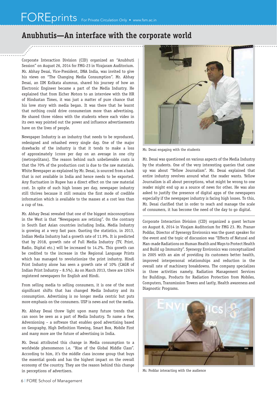### **Anubhutis—An interface with the corporate world**

Corporate Interaction Division (CID) organized an "Anubhuti Session" on August 26, 2014 for FMG-23 in Virajaram Auditorium. Mr. Abhay Desai, Vice-President, DNA India, was invited to give his views on "The Changing Media Consumption". Mr. Abhay Desai, an IIM Kolkata alumnus, shared his journey of how an Electronic Engineer became a part of the Media Industry. He explained that from Eicher Motors to an interview with the HR of Hindustan Times, it was just a matter of pure chance that his love story with media began. It was there that he learnt that nothing could drive consumerism more than advertising. He shared three videos with the students where each video in its own way pointed out the power and influence advertisements have on the lives of people.

Newspaper Industry is an industry that needs to be reproduced, redesigned and rehashed every single day. One of the major drawbacks of the industry is that it tends to make a loss of approximately 1crore per day on an average in one city (metropolitans). The reason behind such unbelievable costs is that the 70% of the production cost is due to the raw materials. White Newspaper as explained by Mr. Desai, is sourced from a bark that is not available in India and hence needs to be exported. Any fluctuation in Rupee has a direct effect on the raw material cost. In spite of such high losses per day, newspaper industry still thrives because it still remains the first mode of credible information which is available to the masses at a cost less than a cup of tea.

Mr. Abhay Desai revealed that one of the biggest misconceptions in the West is that "Newspapers are retiring". On the contrary in South East Asian countries including India, Media Industry is growing at a very fast pace. Quoting the statistics, in 2013, Indian Media Industry had a growth rate of 11.9%. It is predicted that by 2018, growth rate of Full Media Industry (TV, Print, Radio, Digital etc.) will be increased to 14.2%. This growth can be credited to the increase in the Regional Language Prints which has managed to revolutionize the print industry. Hindi Print Industry alone has seen a growth rate of 10% (CAGR of Indian Print Industry – 8.5%). As on March 2013, there are 12634 registered newspapers for English and Hindi.

From selling media to selling consumers, it is one of the most significant shifts that has changed Media Industry and its consumption. Advertising is no longer media centric but puts more emphasis on the consumers. USP is news and not the media.

Mr. Abhay Desai threw light upon many future trends that can soon be seen as a part of Media Industry. To name a few, Adversioning – a software that enables good advertising based on Geography, High Definition Viewing, Smart Box, Mobile First and many more are the future of advertising in India.

Mr. Desai attributed this change in Media consumption to a worldwide phenomenon i.e. "Rise of the Global Middle Class". According to him, it's the middle class income group that buys the essential goods and has the highest impact on the overall economy of the country. They are the reason behind this change in perceptions of advertisers.



Mr. Desai engaging with the students

Mr. Desai was questioned on various aspects of the Media Industry by the students. One of the very interesting queries that came up was about "Yellow Journalism". Mr. Desai explained that entire industry revolves around what the reader wants. Yellow Journalism is all about perceptions, what might be wrong to one reader might end up as a source of news for other. He was also asked to justify the presence of digital apps of the newspapers especially if the newspaper industry is facing high losses. To this, Mr. Desai clarified that in order to reach and manage the scale of consumers, it has become the need of the day to go digital.

Corporate Interaction Division (CID) organized a guest lecture on August 8, 2014 in Virajam Auditorium for FMG 23. Mr. Pranav Poddar, Director of Syenergy Environics was the guest speaker for the event and the topic of discussion was "Effects of Natural and Man-made Radiations on Human Health and Ways to Protect Health and Build up Immunity". Syenergy Environics was conceptualized in 2005 with an aim of providing its customers better health, improved interpersonal relationships and reduction in the overall rate of machinery breakdowns. The company specializes in three activities namely, Radiation Management Services for Buildings, Products for Radiation Protection from Mobiles, Computers, Transmission Towers and lastly, Health awareness and Diagnostic Programs.



Mr. Poddar interacting with the audience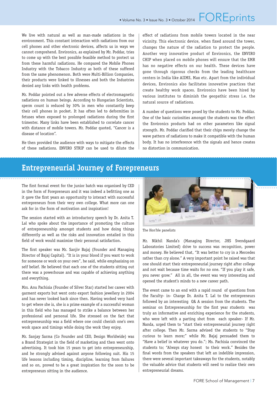We live with natural as well as man-made radiations in the environment. This constant interaction with radiations from our cell phones and other electronic devices, affects us in ways we cannot comprehend. Environics, as explained by Mr. Poddar, tries to come up with the best possible feasible method to protect us from these harmful radiations. He compared the Mobile Phones Industry with the Tobacco Industry as both of these suffered from the same phenomenon. Both were Multi-Billion Companies, their products were linked to illnesses and both the Industries denied any links with health problems.

Mr. Poddar pointed out a few adverse effects of electromagnetic radiations on human beings. According to Hungarian Scientists, sperm count is reduced by 30% in men who constantly keep their cell phones in pocket. It has often led to deformities in fetuses when exposed to prolonged radiations during the first trimester. Many links have been established to correlate cancer with distance of mobile towers. Mr. Poddar quoted, "Cancer is a disease of location".

He then provided the audience with ways to mitigate the effects of these radiations. ENVIRO STRIP can be used to dilute the effect of radiations from mobile towers located in the near vicinity. This electronic device, when fixed around the tower, changes the nature of the radiation to protect the people. Another very innovative product of Environics, the ENVIRO CHIP when placed on mobile phones will ensure that the EMR has no negative effects on our health. These devices have gone through rigorous checks from the leading healthcare centers in India like AIIMS, Max etc. Apart from the individual devices, Environics also facilitates innovative practices that create healthy work spaces. Environics have been hired by various institutes to diminish the geopathic stress i.e. the natural source of radiations.

A number of questions were posed by the students to Mr. Poddar. One of the basic curiosities amongst the students was the effect the Environics products had on other parameters like signal strength. Mr. Poddar clarified that their chips merely change the wave pattern of radiations to make it compatible with the human body. It has no interference with the signals and hence creates no distortion in communication.

### **Entrepreneurial Journey of Forepreneurs**

The first formal event for the junior batch was organised by CED in the form of Forepreneurs and it was indeed a befitting one as it gave the first years an opportunity to interact with successful entrepreneurs from their very own college. What more can one ask for in the form of motivation and inspiration!

The session started with an introductory speech by Dr. Anita T. Lal who spoke about the importance of promoting the culture of entrepreneurship amongst students and how doing things differently as well as the risks and innovation entailed in this field of work would maximise their personal satisfaction.

The first speaker was Mr. Sanjiv Bajaj (Founder and Managing Director of Bajaj Capital). "It is in your blood if you want to work for someone or work on your own", he said, while emphasising on self belief. He believed that each one of the students sitting out there was a powerhouse and was capable of achieving anything and everything.

Mrs. Anu Pachisia (Founder of Silver Star) started her career with garment exports but went onto export fashion jewellery in 2004 and has never looked back since then. Having worked very hard to get where she is, she is a prime example of a successful woman in this field who has managed to strike a balance between her professional and personal life. She stressed on the fact that entrepreneurship was a field where one could cherish one's own work space and timings while doing the work they enjoy.

Mr. Sanjay Sarma (Co Founder and CEO, Design Worldwide) was a Brand Strategist in the field of marketing and then went onto advertising. It took him 15 years to get into entrepreneurship, and he strongly advised against anyone following suit. His 15 life lessons including timing, discipline, learning from failures and so on, proved to be a great inspiration for the soon to be entrepreneurs sitting in the audience.



The Hon'ble panelists

Mr. Nikhil Nanda's (Managing Director, JHS Svendgaard Laboratories Limited) drive to success was recognition, power and money. He believed that, "It was better to cry in a Mercedes rather than cry alone." A very important point he raised was that one should start their entrepreneurial journey right after college and not wait because time waits for no one. "If you play it safe, you never grow." All in all, the event was very interesting and opened the student's minds to a new career path.

The event came to an end with a rapid round of questions from the Faculty- in- Charge Dr. Anita T. Lal to the entrepreneurs followed by an interesting Q& A session from the students. The seminar on Entrepreneurship for the first year students was truly an informative and enriching experience for the students, who were left with a parting shot from each speaker- If Mr. Nanda, urged them to "start their entrepreneurial journey right after college. Then Mr. Sarma advised the students to "Stay curious to learn more;" while Mr. Bajaj persuaded them to "Have a belief in whatever you do."; Ms. Pachisia convinced the students to; "Always stay honest to their work." Besides the final words from the speakers that left an indelible impression, there were several important takeaways for the students, notably the valuable advice that students will need to realize their own entrepreneurial dreams.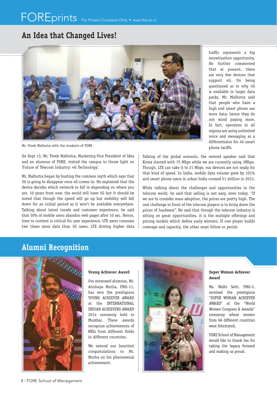### **An Idea that Changed Lives!**



Mr. Vivek Malhotra with the students of FORE

On Sept 13, Mr. Vivek Malhotra, Marketing Vice President of Idea and an alumnus of FORE, visited the campus to throw light on 'Future of Telecom Industry: 4G Technology'.

Mr. Malhotra began by busting the common myth which says that 3G is going to disappear once 4G comes in. He explained that the device decides which network to fall in depending on where you are. 10 years from now, the world will have 5G but it should be noted that though the speed will go up but mobility will fall down for an initial period as it won't be available everywhere. Talking about latest trends and customer experience, he said that 50% of mobile users abandon web pages after 10 sec. Hence, time to content is critical for user experience. LTE users consume two times more data than 3G users. LTE driving higher data traffic represents a big monetization opportunity. He further commented that at present, there are very few devices that support 4G. On being questioned as to why 4G is available in larger data packs, Mr. Malhotra said that people who have a high end smart phone use more data; hence they do not mind paying more. In fact, operators in all regions are using unlimited voice and messaging as a differentiator for 4G smart phone tariffs.

Talking of the global scenario, the revered speaker said that Korea started with 75 Mbps while we are currently using 3Mbps. Though, LTE can take it to 21 Mbps, our devices are not ready for that kind of speed. In India, mobile data volume grew by 101% and smart phone users in urban India crossed 51 million in 2013.

While talking about the challenges and opportunities in the telecom world, he said that selling is not easy, even today. "If we are to consider mass adoption, the prices are pretty high. The real challenge in front of the telecom players is to bring down the prices of hardware". He said that though the telecom industry is sitting on great opportunities, it is the multiple offerings and pricing models which define early winners. If one player builds coverage and capacity, the other must follow or perish.

### **Alumni Recognition**



#### **Young Achiever Award**

Our esteemed alumnus, Mr. Atishaya Mutha, FMG-11, has won the prestigious YOUNG ACHIEVER AWARD at the INTERNATIONAL INDIAN ACHIEVERS AWARD 2014 ceremony held in Mumbai. These awards recognize achievements of NRIs from different fields in different countries.

We extend our heartiest congratulations to Mr. Mutha on his phenomenal achievement.



#### **Super Woman Achiever Award**

Ms. Nidhi Seth, FMG-5, received the prestigious "SUPER WOMAN ACHIEVER AWARD" at the "World Women Congress & Awards" ceremony where women from 66 different countries were felicitated.

FORE School of Management would like to thank her for taking the legacy forward and making us proud.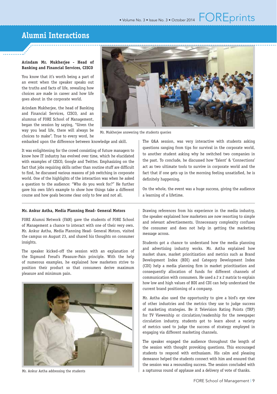### **Alumni Interactions**

#### **Arindam Mr. Mukherjee - Head of Banking and Financial Services, CISCO**

You know that it's worth being a part of an event when the speaker speaks out the truths and facts of life, revealing how choices are made in career and how life goes about in the corporate world.

Arindam Mukherjee, the head of Banking and Financial Services, CISCO, and an alumnus of FORE School of Management, began the session by saying, "Given the way you lead life, there will always be choices to make". True to every word, he



Mr. Mukherjee answering the students queries

embarked upon the difference between knowledge and skill.

It was enlightening for the crowd consisting of future managers to know how IT industry has evolved over time, which he elucidated with examples of CISCO, Google and Twitter. Emphasizing on the fact that jobs requiring skills rather than routine stuff are difficult to find, he discussed various reasons of job switching in corporate world. One of the highlights of the interaction was when he asked a question to the audience: "Who do you work for?" He further gave his own life's example to show how things take a different course and how goals become clear only to few and not all.

#### **Mr. Ankur Astha, Media Planning Head- General Motors**

FORE Alumni Network (FAN) gave the students of FORE School of Management a chance to interact with one of their very own. Mr. Ankur Astha, Media Planning Head- General Motors, visited the campus on August 23, and shared his thoughts on consumer insights.

The speaker kicked-off the session with an explanation of the Sigmund Freud's Pleasure-Pain principle. With the help of numerous examples, he explained how marketers strive to position their product so that consumers derive maximum pleasure and minimum pain.



Mr. Ankur Astha addressing the students

The Q&A session, was very interactive with students asking questions ranging from tips for survival in the corporate world, to another student asking why he switched two companies in the past. To conclude, he discussed how 'Talent' & 'Connections' act as two ultimate tools to survive in corporate world and the fact that if one gets up in the morning feeling unsatisfied, he is definitely happening.

On the whole, the event was a huge success, giving the audience a learning of a lifetime.

Drawing references from his experience in the media industry, the speaker explained how marketers are now resorting to simple and relevant advertisements. Unnecessary complexity confuses the consumer and does not help in getting the marketing message across.

Students got a chance to understand how the media planning and advertising industry works. Mr. Astha explained how market share, market prioritization and metrics such as Brand Development Index (BDI) and Category Development Index (CDI) help a media planning firm in market prioritization and consequently allocation of funds for different channels of communication with consumers. He used a 2 x 2 matrix to explain how low and high values of BDI and CDI can help understand the current brand positioning of a company.

Mr. Astha also used the opportunity to give a bird's eye view of other industries and the metrics they use to judge success of marketing strategies. Be it Television Rating Points (TRP) for TV Viewership or circulation/readership for the newspaper circulation industry, students got to learn about a variety of metrics used to judge the success of strategy employed in engaging via different marketing channels.

The speaker engaged the audience throughout the length of the session with thought provoking questions. This encouraged students to respond with enthusiasm. His calm and pleasing demeanor helped the students connect with him and ensured that the session was a resounding success. The session concluded with a rapturous round of applause and a delivery of vote of thanks.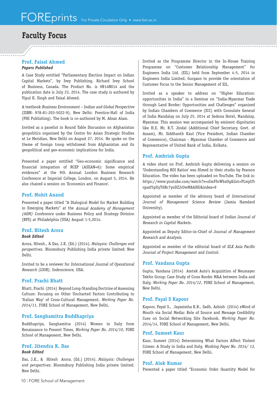### **Faculty Focus**

#### **Prof. Faisal Ahmed** *Papers Published*

A Case Study entitled "Parliamentary Election Impact on Indian Capital Markets", by Ivey Publishing, Richard Ivey School of Business, Canada. The Product No. is 9B14N014 and the publication date is July 23, 2014. The case study is authored by Vipul K. Singh and Faisal Ahmed.

A textbook Business Environment – Indian and Global Perspective (ISBN: 978-81-203-5022-9), New Delhi: Prentice-Hall of India (PHI Publishing). The book is co-authored by M. Absar Alam.

Invited as a panelist in Round Table Discussion on Afghanistan geopolitics organised by the Centre for Asian Strategic Studies at Le Meridian, New Delhi on August 27, 2014. He spoke on the theme of foreign troop withdrawal from Afghanistan and its geopolitical and geo-economic implications for India.

Presented a paper entitled "Geo-economic significance and financial integration of RCEP (ASEAN+6): Some empirical evidences" at the 9th Annual London Business Research Conference at Imperial College, London, on August 5, 2014. He also chaired a session on 'Economics and Finance'.

#### **Prof. Mohit Anand**

Presented a paper titled "A Dialogical Model for Market Building in Emerging Markets" at the Annual *Academy of Management (AOM)* Conference under Business Policy and Strategy Division (BPS) at Philadelphia (USA) August 1-5,2014.

### **Prof. Hitesh Arora**

#### *Book Edited*

Arora, Hitesh., & Das, J.K. (Ed.) (2014). *Malaysia: Challenges and perspectives*. Bloomsbury Publishing India private limited: New Delhi.

Invited to be a reviewer for International Journal of Operational Research (IJOR), Inderscience, USA.

#### **Prof. Prachi Bhatt**

Bhatt, Prachi (2014) Beyond Long-Standing Doctrine of Assessing Culture: Focusing on Other Uncharted Factors Contributing to 'Italian Way' of Cross-Cultural Management, *Working Paper No. 2014/11,* FORE School of Management, New Delhi.

### **Prof. Sanghamitra Buddhapriya**

Buddhapriya, Sanghamitra (2014) Women in Italy from Renaissance to Present Times, *Working Paper No. 2014/10*, FORE School of Management, New Delhi.

#### **Prof. Jitendra K. Das** *Book Edited*

Das, J.K., & Hitesh Arora. (Ed.) (2014). *Malaysia: Challenges and perspectives*. Bloomsbury Publishing India private limited: New Delhi.

Invited as the Programme Director in the In-House Training Programme on "Customer Relationship Management" for Engineers India Ltd. (EIL) held from September 4-5, 2014 in Engineers India Limited, Gurgaon to provide the orientation of Customer Focus to the Senior Management of EIL.

Invited as a speaker to address on "Higher Education: opportunities in India" in a Seminar on "India-Myanmar Trade through Land Border: Opportunities and Challenges" organized by Indian Chambers of Commerce (ICC) with Consulate General of India Mandalay on July 25, 2014 at Sedona Hotel, Mandalay, Myanmar. This session was accompanied by eminent dignitaries like H.E. Mr. R.T. Jindal (Additional Chief Secretary, Govt. of Assam), Mr. Siddhanth Kaul (Vice President, Indian Chamber of Commerce), Chairman - Myanmar Chamber of Commerce and Representative of United Bank of India, Kolkata.

### **Prof. Ambrish Gupta**

A video shoot on Prof. Ambrish Gupta delivering a session on 'Understanding ROI Ratios' was filmed in their studio by Pearson Education. The video has been uploaded on YouTube. The link is: https://www.youtube.com/watch?v=zImFfnWbzOg&list=PLwpU5 rgaxf5pllyT6Bc7yoDZJrOwM8AHG&index=9

Appointed as member of the advisory board of International Journal of Management Science Review (Jamia Hamdard University).

Appointed as member of the Editorial board of Indian Journal of Research in Capital Markets.

Appointed as Deputy Editor-in-Chief of Journal of Management Research and Analysis.

Appointed as member of the editorial board of ELK Asia Pacific Journal of Project Management and Control.

#### **Prof. Vandana Gupta**

Gupta, Vandana (2014) Amtek Auto's Acquisition of Neumayer Tekfor Group: Case Study of Cross Border M&A between India and Italy, *Working Paper No. 2014/12*, FORE School of Management, New Delhi.

### **Prof. Payal S Kapoor**

Kapoor, Payal S., Jayasimha K.R., Sadh, Ashish (2014) eWord of Mouth via Social Media: Role of Source and Message Credibility Cues on Social Networking Site Facebook, *Working Paper No. 2014/14,* FORE School of Management, New Delhi.

#### **Prof. Sumeet Kaur**

Kaur, Sumeet (2014) Determining What Factors Affect Violent Crimes: A Study in India and Italy, Working Paper No. 2014/ 13, FORE School of Management, New Delhi.

#### **Prof. Alok Kumar**

Presented a paper titled "Economic Order Quantity Model for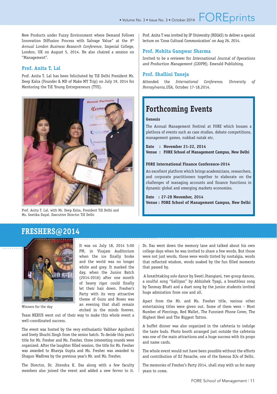New Products under Fuzzy Environment where Demand Follows Innovation Diffusion Process with Salvage Value" at the *9th Annual London Business Research Conference*, Imperial College, London, UK on August 5, 2014. He also chaired a session on "Management".

#### **Prof. Anita T. Lal**

Prof. Anita T. Lal has been felicitated by TiE Delhi President Mr. Deep Kalra (Founder & MD of Make MY Trip) on July 19, 2014 for Mentoring the TiE Young Entrepreneurs (TYE).



Prof. Anita T. Lal, with Mr. Deep Kalra, President TiE Delhi and Ms. Geetika Dayal, Executive Director TiE Delhi

It was on July 18, 2014 5:00 PM, in Virajam Auditorium when the ice finally broke and the world was no longer white and grey. It marked the day, when the Junior Batch (2014-2016) after one month of heavy rigor could finally let their hair down. Fresher's Party with its very attractive theme of Guns and Roses was an evening that shall remain etched in the minds forever.

Prof. Anita T was invited by IP University (RDIAS) to deliver a special lecture on 'Cross Cultural Communication' on Aug 26, 2014.

#### **Prof. Mohita Gangwar Sharma**

Invited to be a reviewer for International Journal of Operations and Production Management (IJOPM), Emerald Publishing.

#### **Prof. Shallini Taneja**

Attended the *International Conference, University of Pennsylvania,USA,* October 17-18,2014.

### **Forthcoming Events**

#### **Genesis**

The Annual Management Festival at FORE which houses a plethora of events such as case studies, debate competitions, management games, nukkad natak etc.

**Date : November 21-22, 2014 Venue : FORE School of Management Campus, New Delhi** 

#### **FORE International Finance Conference-2014**

An excellent platform which brings academicians, researchers, and corporate practitioners together to elaborate on the challenges of managing accounts and finance functions in dynamic global and emerging markets economies.

**Date : 27-28 November, 2014 Venue : FORE School of Management Campus, New Delhi**

### **FRESHERS@2014**



Winners for the day

Team NEXUS went out of their way to make this whole event a well-coordinated success.

The event was hosted by the very enthusiastic Vaibhav Agnihotri and lively Shuchi Singh from the senior batch. To decide this year's title for Mr. Fresher and Ms. Fresher, three interesting rounds were organized. After the laughter filled session, the title for Mr. Fresher was awarded to Bhavya Gupta and Ms. Fresher was awarded to Shagun Wadhwa by the previous year's Mr. and Ms. Fresher.

The Director, Dr. Jitendra K. Das along with a few faculty members also joined the event and added a new fervor to it.

Dr. Das went down the memory lane and talked about his own college days when he was invited to share a few words. But those were not just words, those were words tinted by nostalgia, words that reflected wisdom, words soaked by the fun filled moments that passed by.

 A breathtaking solo dance by Swati Jhangiani, two group dances, a soulful song "Galliyan" by Abhishek Tyagi, a breathless song by Tanmay Bhatt and a duet song by the junior students invited huge admiration from one and all.

Apart from the Mr. and Ms. Fresher title, various other entertaining titles were given out. Some of them were – Most Number of Piercings, Red Wallet, The Funniest Phone Cover, The Highest Heel and The Biggest Tattoo.

A buffet dinner was also organized in the cafeteria to indulge the taste buds. Photo booth arranged just outside the cafeteria was one of the main attractions and a huge success with its props and name cards.

The whole event would not have been possible without the efforts and contribution of DJ Panache, one of the famous DJs of Delhi.

The memories of Fresher's Party 2014, shall stay with us for many years to come.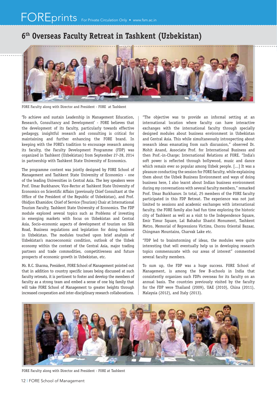### **6th Overseas Faculty Retreat in Tashkent (Uzbekistan)**



FORE Faculty along with Director and President - FORE at Tashkent

'To achieve and sustain Leadership in Management Education, Research, Consultancy and Development' - FORE believes that the development of its faculty, particularly towards effective pedagogy, insightful research and consulting is critical for maintaining and further enhancing the FORE brand. In keeping with the FORE's tradition to encourage research among its faculty, the Faculty Development Programme (FDP) was organized in Tashkent (Uzbekistan) from September 27-28, 2014 in partnership with Tashkent State University of Economics.

The programme content was jointly designed by FORE School of Management and Tashkent State University of Economics - one of the leading Universities in Central Asia. The key speakers were Prof. Umar Burkhanov, Vice-Rector at Tashkent State University of Economics on Scientific Affairs (previously Chief Consultant at the Office of the President of the Republic of Uzbekistan), and Prof. Obidjon Khamidov, Chief of Service (Tourism) Chair at International Tourism Faculty, Tashkent State University of Economics. The FDP module explored several topics such as Problems of investing in emerging markets with focus on Uzbekistan and Central Asia, Socio-economic aspects of development of tourism on Silk Road, Business regulations and legislation for doing business in Uzbekistan. The modules touched upon brief analysis of Uzbekistan's macroeconomic condition, outlook of the Uzbek economy within the context of the Central Asia, major trading partners and trade commodities, competitiveness and future prospects of economic growth in Uzbekistan, etc.

Mr. R.C. Sharma, President, FORE School of Management pointed out that in addition to country specific issues being discussed at such faculty retreats, it is pertinent to foster and develop the members of faculty as a strong team and embed a sense of one big family that will take FORE School of Management to greater heights through increased cooperation and inter-disciplinary research collaborations.

"The objective was to provide an informal setting at an international location where faculty can have interactive exchanges with the international faculty through specially designed modules about business environment in Uzbekistan and Central Asia. This while simultaneously introspecting about research ideas emanating from such discussion," observed Dr. Mohit Anand, Associate Prof. for International Business and then Prof.-in-Charge; International Relations at FORE. "India's soft power is reflected through bollywood, music and dance which remain ever so popular among Uzbek people. [...] It was a pleasure conducting the session for FORE faculty, while explaining them about the Uzbek Business Environment and ways of doing business here, I also learnt about Indian business environment during my conversations with several faculty members," remarked Prof. Umar Burkhanov. In total, 25 members of the FORE faculty participated in this FDP Retreat. The experience was not just limited to sessions and academic exchanges with international faculty, the FORE family also had fun time exploring the historic city of Tashkent as well as a visit to the Independence Square, Emir Timur Square, Lal Bahadur Shastri Monument, Tashkent Metro, Memorial of Repressions Victims, Chorsu Oriental Bazaar, Chingman Mountains, Charvak Lake etc.

"FDP led to brainstorming of ideas, the modules were quite interesting that will eventually help us in developing research topics commensurate with our areas of interest" commented several faculty members.

To sum up, the FDP was a huge success. FORE School of Management, is among the few B-schools in India that consistently organizes such FDPs overseas for its faculty on an annual basis. The countries previously visited by the faculty for the FDP were Thailand (2009), UAE (2010), China (2011), Malaysia (2012), and Italy (2013).



FORE Faculty along with Director and President - FORE at Tashkent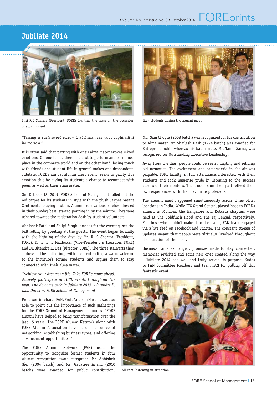### **Jubilate 2014**



Shri R.C Sharma (President, FORE) Lighting the lamp on the occassion Ex - students during the alumni meet of alumni meet

#### "Parting is such sweet sorrow that I shall say good night till it be morrow."

It is often said that parting with one's alma mater evokes mixed emotions. On one hand, there is a zest to perform and earn one's place in the corporate world and on the other hand, losing touch with friends and student life in general makes one despondent. Jubilate, FORE's annual alumni meet event, seeks to pacify this emotion this by giving its students a chance to reconnect with peers as well as their alma mater.

On October 18, 2014, FORE School of Management rolled out the red carpet for its students in style with the plush Jaypee Vasant Continental playing host on. Alumni from various batches, dressed in their Sunday best, started pouring in by the minute. They were ushered towards the registration desk by student volunteers.

Abhishek Patel and Shilpi Singh, emcees for the evening, set the ball rolling by greeting all the guests. The event began formally with the lighting of the diya by Mr. R. C Sharma (President, FORE), Dr. B. B. L Madhukar (Vice-President & Treasurer, FORE) and Dr. Jitendra K. Das (Director, FORE). The three stalwarts then addressed the gathering, with each extending a warm welcome to the institute's former students and urging them to stay connected with their alma mater.

"Achieve your dreams in life. Take FORE's name ahead. Actively participate in FORE events throughout the year. And do come back in Jubilate 2015" - Jitendra K. Das, Director, FORE School of Management

Professor-in-charge FAN, Prof. Anupam Narula, was also able to point out the importance of such gatherings for the FORE School of Management alumnus. "FORE alumni have helped to bring transformation over the last 15 years. The FORE Alumni Network along with FORE Alumni Association have become a source of networking, establishing business types, and offering advancement opportunities."

The FORE Alumni Network (FAN) used the opportunity to recognize former students in four Alumni recognition award categories. Mr. Abhishek Gier (2004 batch) and Ms. Gayatree Anand (2010 batch) were awarded for public contribution.



Mr. Sam Chopra (2008 batch) was recognized for his contribution to Alma mater. Mr. Shailesh Dash (1994 batch) was awarded for Entrepreneurship whereas his batch-mate, Mr. Tanoj Sarna, was recognized for Outstanding Executive Leadership.

Away from the dias, people could be seen mingling and reliving old memories. The excitement and camaraderie in the air was palpable. FORE faculty, in full attendance, interacted with their students and took immense pride in listening to the success stories of their mentees. The students on their part relived their own experiences with their favourite professors.

The alumni meet happened simultaneously across three other locations in India. While ITC Grand Central played host to FORE's alumni in Mumbai, the Bangalore and Kolkata chapters were held at The Goldfinch Hotel and The Taj Bengal, respectively. For those who couldn't make it to the event, FAN team engaged via a live feed on Facebook and Twitter. The constant stream of updates meant that people were virtually involved throughout the duration of the meet.

Business cards exchanged, promises made to stay connected, memories revisited and some new ones created along the way - Jubilate 2014 had well and truly served its purpose. Kudos to FAN Committee Members and team FAN for pulling off this fantastic event.



All ears: listening in attention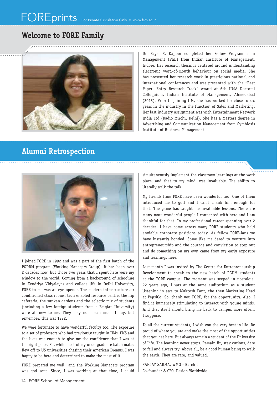### **Welcome to FORE Family**



Dr. Payal S. Kapoor completed her Fellow Programme in Management (PhD) from Indian Institute of Management, Indore. Her research thesis is centered around understanding electronic word-of-mouth behaviour on social media. She has presented her research work in prestigious national and international conferences and was presented with the "Best Paper- Entry Research Track" Award at 6th IIMA Doctoral Colloquium, Indian Institute of Management, Ahmedabad (2013). Prior to joining IIM, she has worked for close to six years in the industry in the function of Sales and Marketing. Her last industry assignment was with Entertainment Network India Ltd (Radio Mirchi, Delhi). She has a Masters degree in Advertising and Communication Management from Symbiosis Institute of Business Management.

### **Alumni Retrospection**



I joined FORE in 1992 and was a part of the first batch of the PGDBM program (Working Managers Group). It has been over 2 decades now, but those two years that I spent here were my window to the world. Coming from a background of schooling in Kendriya Vidyalayas and college life in Delhi University, FORE to me was an eye opener. The modern infrastructure air conditioned class rooms, tech enabled resource centre, the hip cafeteria, the sunken gardens and the eclectic mix of students (including a few foreign students from a Belgian University) were all new to me. They may not mean much today, but remember, this was 1992.

We were fortunate to have wonderful faculty too. The exposure to a set of professors who had previously taught in IIMs, FMS and the likes was enough to give me the confidence that I was at the right place. So, while most of my undergraduate batch mates flew off to US universities chasing their American Dreams, I was happy to be here and determined to make the most of it.

FORE prepared me well and the Working Managers program was god sent. Since, I was working at that time, I could simultaneously implement the classroom learnings at the work place, and that to my mind, was invaluable. The ability to literally walk the talk.

My friends from FORE have been wonderful too. One of them introduced me to golf and I can't thank him enough for that. The game has taught me invaluable lessons. There are many more wonderful people I connected with here and I am thankful for that. In my professional career spanning over 2 decades, I have come across many FORE students who hold enviable corporate positions today. As fellow FORE-ians we have instantly bonded. Some like me dared to venture into entrepreneurship and the courage and conviction to step out and do something on my own came from my early exposure and learnings here.

Last month I was invited by The Centre for Entrepreneurship Development to speak to the new batch of PGDM students at the FORE campus. The moment was seeped in nostalgia. 22 years ago, I was at the same auditorium as a student listening in awe to Muktesh Pant, the then Marketing Head at PepsiCo. So, thank you FORE, for the opportunity. Also, I find it immensely stimulating to interact with young minds. And that itself should bring me back to campus more often, I suppose.

To all the current students, I wish you the very best in life. Be proud of where you are and make the most of the opportunities that you get here. But always remain a student of the University of Life. The learning never stops. Remain fit, stay curious, dare to fail and always try. Above all, be a good human being to walk the earth. They are rare, and valued.

SANJAY SARMA, WMG - Batch I Co-founder & CEO, Design Worldwide.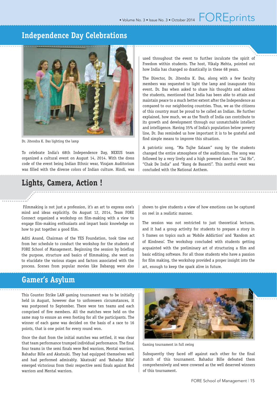

Dr. Jitendra K. Das lighting the lamp

To celebrate India's 68th Independence Day, NEXUS team organized a cultural event on August 14, 2014. With the dress code of the event being Indian Ethnic wear, Virajam Auditorium was filled with the diverse colors of Indian culture. Hindi, was

### **Lights, Camera, Action !**

 Filmmaking is not just a profession, it's an art to express one's mind and ideas explicitly. On August 12, 2014, Team FORE Connect organized a workshop on film-making with a view to engage film-making enthusiasts and impart basic knowledge on how to put together a good film.

Aditi Anand, Chairman of the YES Foundation, took time out from her schedule to conduct the workshop for the students of FORE School of Management. Beginning the session by briefing the purpose, structure and basics of filmmaking, she went on to elucidate the various stages and factors associated with the process. Scenes from popular movies like Dabangg were also

### **Gamer's Asylum**

This Counter Strike LAN gaming tournament was to be initially held in August, however due to unforeseen circumstances, it was postponed to September. There were ten teams and each comprised of five members. All the matches were held on the same map to ensure an even footing for all the participants. The winner of each game was decided on the basis of a race to 16 points, that is one point for every round won.

Once the dust from the initial matches was settled, it was clear that team performance trumped individual performance. The final four teams in the semi finals were Red warriors, Mental warriors, Bahadur Bille and Akatsuki. They had equipped themselves well and had performed admirably. 'Akatsuki' and 'Bahadur Bille' emerged victorious from their respective semi finals against Red warriors and Mental warriors.

used throughout the event to further inculcate the spirit of Freedom within students. The host, Vikalp Mehta, pointed out how India has changed so drastically in these 68 years.

The Director, Dr. Jitendra K. Das, along with a few faculty members was requested to light the lamp and inaugurate this event. Dr. Das when asked to share his thoughts and address the students, mentioned that India has been able to attain and maintain peace to a much better extent after the Independence as compared to our neighboring countries. Thus, we as the citizens of this country must be proud to be called an Indian. He further explained, how much, we as the Youth of India can contribute to its growth and development through our unmatchable intellect and intelligence. Having 35% of India's population below poverty line, Dr. Das reminded us how important it is to be grateful and find simple means to improve this situation.

A patriotic song, "Ma Tujhe Salaam" sung by the students changed the entire atmosphere of the auditorium. The song was followed by a very lively and a high powered dance on "Jai Ho", "Chak De India" and "Rang de Basanti". This zestful event was concluded with the National Anthem.

shown to give students a view of how emotions can be captured on reel in a realistic manner.

The session was not restricted to just theoretical lectures, and it had a group activity for students to prepare a story in 5 frames on topics such as 'Mobile Addiction' and 'Random act of Kindness'. The workshop concluded with students getting acquainted with the preliminary art of structuring a film and basic editing software. For all those students who have a passion for film making, the workshop provided a proper insight into the art, enough to keep the spark alive in future.



Gaming tournament in full swing

Subsquently they faced off against each other for the final match of this tournament. Bahadur Bille defeated them comprehensively and were crowned as the well deserved winners of this tournament.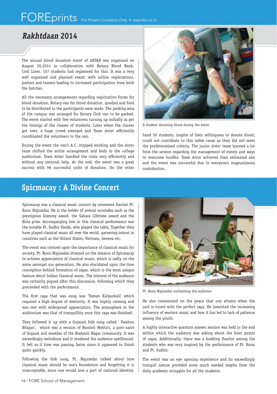### **Rakhtdaan 2014**

The annual blood donation event of *ANTAR* was organised on August 20,2014 in collaboration with Rotary Blood Bank, Civil Lines. 157 students had registered for this. It was a very well organised and planned event; with online registrations, posters and teasers leading to increased participation from both the batches.

All the necessary arrangements regarding registration forms for blood donation, Rotary van for blood donation, goodies and food to be distributed to the participants were made. The parking area of the campus was arranged for Rotary Club van to be parked. The event started with few volunteers turning up initially as per the timings of the classes of students. Later when the classes got over, a huge crowd emerged and Team Antar efficiently coordinated the volunteers to the van.

During the event the van's A.C. stopped working and the *Antar*  team shifted the entire arrangement and beds to the college auditorium. Team Antar handled the crisis very efficiently and without any external help. At the end, the event was a great success with 96 successful units of donation. On the other



A student donating blood during the event

hand 50 students, inspite of their willingness to donate blood, could not contribute to this noble cause as they did not meet the predetermined criteria. The junior *Antar* team learned a lot from the seniors regarding the management of events and ways to overcome hurdles. Team *Antar* achieved their estimated aim and the event was successful due to everyone's magnanimous contribution.

### **Spicmacay : A Divine Concert**

Spicmacay was a classical music concert by renowned flautist Pt. Ronu Majumdar. He is the holder of several accolades such as the prestigious Grammy award, the Sahara Lifetime award and the Birla prize. Accompanying him in this classical performance was the notable Pt. Sudhir Pande, who played the tabla. Together they have played classical music all over the world, garnering interst in countries such as the United States, Vietnam, Geneva etc.

The event was centred upon the importance of classical music for society. Pt. Ronu Majumdar stressed on the mission of Spicmacay to achieve appreciation of classical music, which is sadly on the wane amongst our generation. He also elucidated upon the time conception behind formation of ragas, which is the most unique feature about Indian Classical music. The interest of the audience was certainly piqued after this discussion, following which they proceeded with the performance.

The first raga that was sung was 'Yaman Kalyankali' which required a high degree of dexterity. It was highly calming and was met with widespread appreciation. The atmosphere in the auditorium was that of tranquillity once this raga was finished.

They followed it up with a Gujarati folk song called ' Vaishno Bhajan', which was a version of Narsinh Mehta's, a poet-saint of Gujarat and member of the Brahmin Nagar community. It was exceedingly melodious and it rendered the audience spellbound. It felt as if time was passing faster since it appeared to finish quite quickly.

Following the folk song, Pt. Majumdar talked about how classical music should be one's foundation and forgetting it is unacceptable, since one would lose a part of national identity.



Pt. Ronu Majumdar enchanting the audience

He also commented on the peace that one attains when the soul is tuned with the perfect raga. He lamented the increasing influence of western music and how it has led to lack of patience among the youth.

A highly interactive question answer session was held in the end within which the audience was asking about the finer points of ragas. Additionally, there was a budding flautist among the students who was very inspired by the performance of Pt. Ronu and Pt. Sudhir.

The event was an eye opening experience and its exceedingly tranquil nature provided some much needed respite from the daily academic struggles for all the students.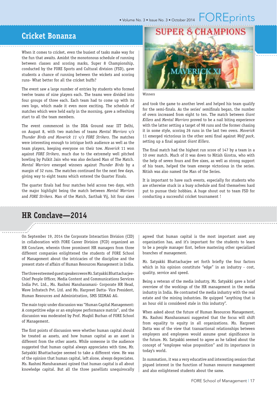## • Volume No. 3 • Issue No. 3 • October 2014  $\vdash \bigcup \mathsf{REprints}$

### **Cricket Bonanza**

When it comes to cricket, even the busiest of tasks make way for the fun that awaits. Amidst the monotonous schedule of running between classes and scoring marks, Super 8 Championship, conducted by the FORE Sports and Cultural division (FSD), gave students a chance of running between the wickets and scoring runs- What better for all the cricket buffs?

The event saw a large number of entries by students who formed twelve teams of nine players each. The teams were divided into four groups of three each. Each team had to come up with its own logo, which made it even more exciting. The schedule of matches which were held early in the morning, gave a refreshing start to all the team members.

The event commenced in the DDA Ground near IIT Delhi, on August 8, with two matches of teams *Mental Warriors v/s Thunder Birds and Maverick 11 v/s FORE Strikers*. The matches were interesting enough to intrigue both audience as well as the team players, keeping everyone on their tow. *Maverick* 11 won against *FORE Strikers*, much due to the extremely well pitched bowling by Pulkit Jain who was also declared Man of The Match. *Mental Warriors* emerged winners against *Thunder Birds* by a margin of 32 runs. The matches continued for the next few days, giving way to eight teams which entered the Quarter Finals.

The quarter finals had four matches held across two days, with the major highlight being the match between *Mental Warriors*  and *FORE Strikers*. Man of the Match, Sarthak Vij, hit four sixes **SUPER 8 CHAMPIONS** 

#### Winners

and took the game to another level and helped his team qualify for the semi-finals. As the series' semifinals began, the number of overs increased from eight to ten. The match between *Giant Killers* and *Mental Warriors* proved to be a nail biting experience with the latter setting a target of 98 runs and the former chasing it in some style, scoring 26 runs in the last two overs. *Maverick* 11 emerged victorious in the other semi final against Wolf pack, setting up a final against *Giant Killers*.

The final match had the highest run score of 147 by a team in a 10 over match. Much of it was down to Nitish Girotra, who with the help of seven fours and five sixes, as well as strong support of his team, helped the team emerge victorious in the series. Nitish was also named the Man of the Series.

It is important to have such events, especially for students who are otherwise stuck in a busy schedule and find themselves hard put to pursue their hobbies. A huge shout out to team FSD for conducting a successful cricket tournament !

### **HR Conclave—2014**

On September 19, 2014 the Corporate Interaction Division (CID) in collaboration with FORE Career Division (FCD) organized an HR Conclave, wherein three prominent HR managers from three different companies enlightened the students of FORE School of Management about the intricacies of the discipline and the present state of affairs of Human Resources Management in India.

The three esteemed guest speakers were Mr. Satyakki Bhattacharjee-Chief People Officer, Media Content and Communications Services India Pvt. Ltd., Ms. Rashmi Mansharamani- Corporate HR Head, Wave Infratech Pvt. Ltd. and Ms. Harpreet Datta- Vice President, Human Resources and Administration, SMS SEIMAG AG.

The main topic under discussion was "Human Capital Management: A competitive edge or an employee performance matrix", and the discussion was moderated by Prof. Muqbil Burhan of FORE School of Management.

The first points of discussion were whether human capital should be treated as assets, and how human capital as an asset is different from the other assets. While someone in the audience suggested that human capital always appreciates with time, Mr. Satyakki Bhattacharjee seemed to take a different view. He was of the opinion that human capital, left alone, always depreciates. Ms. Rashmi Mansharamani opined that human capital is all about knowledge capital. But all the three panellists unequivocally

agreed that human capital is the most important asset any organization has, and it's important for the students to learn to be a people manager first, before mastering other specialized branches of management.

Mr. Satyakki Bhattacharjee set forth briefly the four factors which in his opinion constitute "edge" in an industry - cost, quality, service and speed.

Being a veteran of the media industry, Mr. Satyakki gave a brief overview of the workings of the HR management in the media industry in India. He contrasted the media industry with the real estate and the mining industries. He quipped "anything that is an hour old is considered stale in this industry".

When asked about the future of Human Resources Management, Ms. Rashmi Mansharamani suggested that the focus will shift from equality to equity in all organizations. Ms. Harpreet Datta was of the view that transactional relationships between employers and employees would assume great significance in the future. Mr. Satyakki seemed to agree as he talked about the concept of "employee value proposition" and its importance in today's world.

In summation, it was a very educative and interesting session that piqued interest in the function of human resource management and also enlightened students about the same.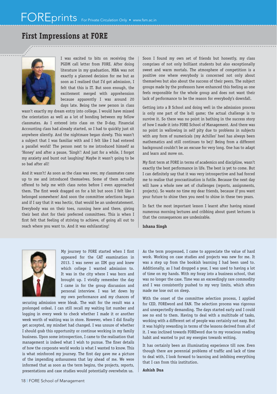### **First Impressions at FORE**



I was excited to bits on receiving the PGDM call letter from FORE. After doing literature in my graduation, MBA was not exactly a planned decision for me but as soon as I realised that I'd got admission, I felt that this is IT. But soon enough, the excitement merged with apprehension because apparently I was around 20 days late. Being the new person in class

wasn't exactly my dream entry into college. I would have missed the orientation as well as a lot of bonding between my fellow classmates. As I entered into class on the D-day, Financial Accounting class had already started, so I had to quickly just sit anywhere silently. And the nightmare began slowly. This wasn't a subject that I was familiar with and I felt like I had entered a parallel world! The person next to me introduced himself as 'Honey' and after a pause, 'Singh'! And just for a while, I forgot my anxiety and burst out laughing! Maybe it wasn't going to be so bad after all!

And it wasn't! As soon as the class was over, my classmates came up to me and introduced themselves. Some of them actually offered to help me with class notes before I even approached them. The first week dragged on for a bit but soon I felt like I belonged somewhere! And soon the committee selections began and if I say that it was hectic, that would be an understatement. Everybody was on their toes, running here and there, giving their best shot for their preferred committees. This is when I first felt that feeling of striving to achieve, of going all out to reach where you want to. And it was exhilarating!

Soon I found my own set of friends but honestly, my class comprises of not only brilliant students but also exceptionally sweet and warm mortals. The atmosphere of competition is a positive one where everybody is concerned not only about themselves but also about the success of their peers. The subject groups made by the professors have enhanced this feeling as one feels responsible for the whole group and does not want their lack of performance to be the reason for everybody's downfall.

Getting into a B School and doing well in the admission process is only one part of the ball game; the actual challenge is to survive it. So there was no point in bathing in the success story of how I made it into FORE School of Management. And there was no point in wallowing in self pity due to problems in subjects with any form of numericals (my Achilles' heel has always been mathematics and still continues to be)! Being from a different background couldn't be an excuse for very long. One has to adapt and learn and move on.

My first term at FORE in terms of academics and discipline, wasn't exactly the best performance in life. The best is yet to come. But I can definitely say that it was very introspective and had forced me to realise that procrastination is futile. Because the next day will have a whole new set of challenges (reports, assignments, projects). So waste no time my dear friends, because if you want your future to shine then you need to shine in these two years.

In fact the most important lesson I learnt after having missed numerous morning lectures and cribbing about guest lectures is that the consequences are undesirable.

**Ishana Singh**



My journey to FORE started when I first appeared for the CAT examination in 2013. I was never an IIM guy and knew which college I wanted admission to. It was in the city where I was born and brought up. I vividly remember the day I came in for the group discussion and personal interview. I was let down by my own performance and my chances of

securing admission were bleak. The wait for the result was a prolonged ordeal. I can still recall my waiting list number and logging in every week to check whether I made it or another week worth of waiting was in store. However, when I did finally get accepted, my mindset had changed. I was unsure of whether I should grab this opportunity or continue working in my family business. Upon some introspection, I came to the realisation that management is indeed what I wish to pursue. The finer details of how the corporate world works is what I wanted to know. This is what reinforced my journey. The first day gave me a picture of the impending arduousness that lay ahead of me. We were informed that as soon as the term begins, the projects, reports, presentations and case studies would potentially overwhelm us.

As the term progressed, I came to appreciate the value of hard work. Working on case studies and projects was new for me. It was a step up from the bookish learning I had been used to. Additionally, as I had dropped a year, I was used to having a lot of time on my hands. With my foray into a business school, that was no longer the case. Time was an exceedingly rare commodity and I was consistently pushed to my very limits, which often made me lose out on sleep.

With the onset of the committee selection process, I applied for CED, FOREword and FAN. The selection process was rigorous and unexpectedly demanding. The days started early and I could see no end to them. Having to deal with a multitude of tasks, working with a different set of people was certainly not easy. But it was highly rewarding in terms of the lessons derived from all of it. I was inclined towards FOREword due to my voracious reading habit and wanted to put my energies towards writing.

It has certainly been an illuminating experience till now. Even though there are perennial problems of traffic and lack of time to deal with, I look forward to learning and imbibing everything that I can from this institution.

#### **Ashish Dua**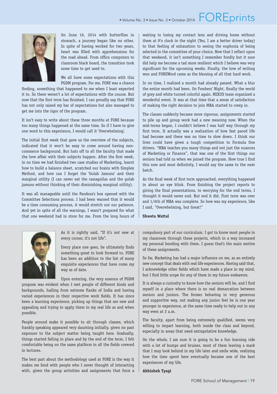## • Volume No. 3 • Issue No. 3 • October 2014  $\mathsf{FOREvents}$



On June 16, 2014 with butterflies in stomach, a journey began like no other. In spite of having worked for two years, heart was filled with apprehensions for the road ahead. From office computers to classroom black board, the transition took some time to get used to.

We all have some expectations with this PGDM program. For me, FORE was a chance

finding, something that happened to me when I least expected it to. So there weren't a lot of expectations with the course. But now that the first term has finished, I can proudly say that FORE has not only raised my bar of expectations but also managed to get me into the rigor of the program.

It isn't easy to write about these three months at FORE because too many things happened at the same time. So if I have to give one word to this experience, I would call it 'Overwhelming'.

The initial first week that gave us the overview of the subjects, indicated that it won't be easy to come around having noncommerce background. But hats off to all the faculty that made the love affair with their subjects happen. After the first week, in no time we had finished two case studies of Marketing, learnt how to build a balance sheet, scratched our brains with Simplex Method, and how can I forget the 'Gulab Jamuns' and their marginal utility (I can never eat the rassagullas and the gulab jamuns without thinking of their diminishing marginal utility).

It was all manageable until the Pandora's box opened with the Committee Selections process. I had been warned that it would be a time consuming process, it would stretch out our patience. And yet in spite of all the warnings, I wasn't prepared for what that one weekend had in store for me. From the long hours of

waiting to losing my contact lens and driving home without them at 9'o clock in the night (Yes, I am a better driver today) to that feeling of exhaustion to seeing the euphoria of being selected in the committee of your choice. Now that I reflect upon that weekend, it isn't something I remember fondly but it sure did help me become a tad more resilient which I believe was very significant for the upcoming weeks. Finally, the love of writing won and FOREWord came as the blessing of all that hard work.

In no time, I realized a month had already passed. What a blur the entire month had been. On Freshers' Night, finally the world of grey and white turned colorful again. NEXUS team organized a wonderful event. It was at that time that a sense of satisfaction of making the right decision to join MBA started to creep in.

The classes suddenly became more rigorous, assignments started to pile up and group work had a new meaning now. When the mid-terms began, I couldn't believe I was half way through my first term. It actually was a realization of how fast paced life had become and there was no time to slow down. I think our lives could have given a tough competition to Formula One drivers. "MBA teaches you many things and not just the nuances of Marketing or Finance", that was one of the first things our seniors had told us when we joined the program. How true I find this now and most definitely, I would say the same to the next batch.

As the final week of first term approached, everything happened in about an eye blink. From finishing the project reports to giving the final presentations, to worrying for the end terms, I thought it would never end. But end it did. First term was over and 1/6th of MBA was complete. So how was my experience, like I said, "Overwhelming, but Great!"

As it is rightly said, "If it's not new at every corner, it's not life".

Every place one goes, he ultimately finds something great to look forward to. FORE has been an addition to the list of many exquisite experiences that have come my way as of date.

Upon entering, the very essence of PGDM

program was evident when I met people of different kinds and backgrounds, hailing from extreme flanks of India and having varied experiences in their respective work fields. It has since been a learning experience, picking up things that are new and appealing and trying to apply them in my real life as and when possible.

People around make it possible to sit through classes, which frankly speaking appeared very daunting initially, given no past exposure to the subject matter being taught here. Gradually, things started falling in place and by the end of the term, I felt comfortable being on the same platform in all the fields covered in lectures.

The best part about the methodology used at FORE is the way it makes me bind with people who I never thought of interacting with, given the group activities and assignments that form a **Shweta Wattal**

compulsory part of our curriculum. I got to know most people in my classroom through these projects, which in a way increased my personal bonding with them. I guess that's the main motive of these assignments.

So far, Marketing has had a major influence on me, as an entirely new concept that deals with real life experiences. Having said that, I acknowledge other fields which have made a place in my mind, but I find little scope for any of them in my future endeavors.

It is always a curiosity to know how the seniors will be, and I find myself in a place where there is no real demarcation between seniors and juniors. The former behaving in very generous and supportive way, not making any junior feel he is one year younger in experience, at the same time ready to help out in any way even at 2 a.m.

The faculty, apart from being extremely qualified, seems very willing to impart learning, both inside the class and beyond, especially in areas that need extrapolative knowledge.

On the whole, I am sure it is going to be a fun learning ride with a lot of bumps and bruises, most of them leaving a mark that I may look behind in my life later and smile wide, realizing how the time spent here eventually became one of the best experiences of my life.

#### **Abhishek Tyagi**